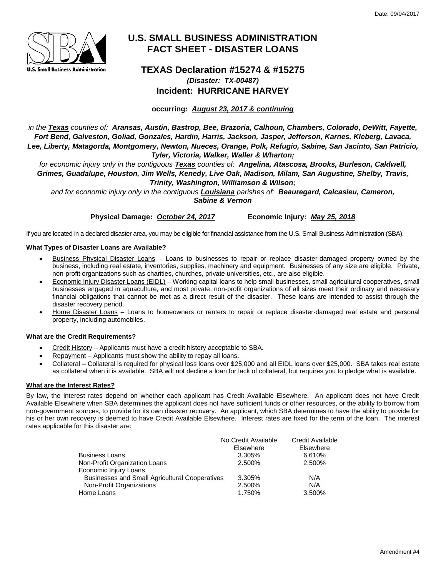

# **U.S. SMALL BUSINESS ADMINISTRATION FACT SHEET - DISASTER LOANS**

## **TEXAS Declaration #15274 & #15275** *(Disaster: TX-00487)* **Incident: HURRICANE HARVEY**

**occurring:** *August 23, 2017 & continuing*

*in the Texas counties of: Aransas, Austin, Bastrop, Bee, Brazoria, Calhoun, Chambers, Colorado, DeWitt, Fayette, Fort Bend, Galveston, Goliad, Gonzales, Hardin, Harris, Jackson, Jasper, Jefferson, Karnes, Kleberg, Lavaca, Lee, Liberty, Matagorda, Montgomery, Newton, Nueces, Orange, Polk, Refugio, Sabine, San Jacinto, San Patricio, Tyler, Victoria, Walker, Waller & Wharton;* 

*for economic injury only in the contiguous Texas counties of: Angelina, Atascosa, Brooks, Burleson, Caldwell, Grimes, Guadalupe, Houston, Jim Wells, Kenedy, Live Oak, Madison, Milam, San Augustine, Shelby, Travis, Trinity, Washington, Williamson & Wilson;*

*and for economic injury only in the contiguous Louisiana parishes of: Beauregard, Calcasieu, Cameron, Sabine & Vernon*

**Physical Damage:** *October 24, 2017* **Economic Injury:** *May 25, 2018*

If you are located in a declared disaster area, you may be eligible for financial assistance from the U.S. Small Business Administration (SBA).

## **What Types of Disaster Loans are Available?**

- Business Physical Disaster Loans Loans to businesses to repair or replace disaster-damaged property owned by the business, including real estate, inventories, supplies, machinery and equipment. Businesses of any size are eligible. Private, non-profit organizations such as charities, churches, private universities, etc., are also eligible.
- Economic Injury Disaster Loans (EIDL) Working capital loans to help small businesses, small agricultural cooperatives, small businesses engaged in aquaculture, and most private, non-profit organizations of all sizes meet their ordinary and necessary financial obligations that cannot be met as a direct result of the disaster. These loans are intended to assist through the disaster recovery period.
- Home Disaster Loans Loans to homeowners or renters to repair or replace disaster-damaged real estate and personal property, including automobiles.

## **What are the Credit Requirements?**

- Credit History Applicants must have a credit history acceptable to SBA.
- Repayment Applicants must show the ability to repay all loans.
- Collateral Collateral is required for physical loss loans over \$25,000 and all EIDL loans over \$25,000. SBA takes real estate as collateral when it is available. SBA will not decline a loan for lack of collateral, but requires you to pledge what is available.

## **What are the Interest Rates?**

By law, the interest rates depend on whether each applicant has Credit Available Elsewhere. An applicant does not have Credit Available Elsewhere when SBA determines the applicant does not have sufficient funds or other resources, or the ability to borrow from non-government sources, to provide for its own disaster recovery. An applicant, which SBA determines to have the ability to provide for his or her own recovery is deemed to have Credit Available Elsewhere. Interest rates are fixed for the term of the loan. The interest rates applicable for this disaster are:

|                                                       | No Credit Available | <b>Credit Available</b><br>Elsewhere |
|-------------------------------------------------------|---------------------|--------------------------------------|
|                                                       | Elsewhere           |                                      |
| Business Loans                                        | 3.305%              | 6.610%                               |
| Non-Profit Organization Loans                         | 2.500%              | 2.500%                               |
| Economic Injury Loans                                 |                     |                                      |
| <b>Businesses and Small Agricultural Cooperatives</b> | 3.305%              | N/A                                  |
| Non-Profit Organizations                              | 2.500%              | N/A                                  |
| Home Loans                                            | 1.750%              | 3.500%                               |
|                                                       |                     |                                      |